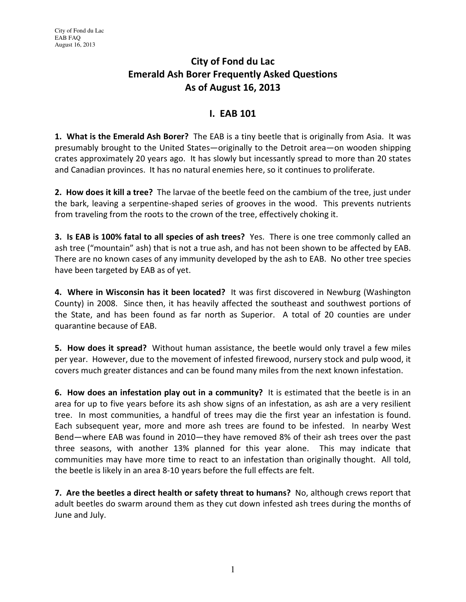# City of Fond du Lac Emerald Ash Borer Frequently Asked Questions As of August 16, 2013

#### I. EAB 101

**1. What is the Emerald Ash Borer?** The EAB is a tiny beetle that is originally from Asia. It was presumably brought to the United States—originally to the Detroit area—on wooden shipping crates approximately 20 years ago. It has slowly but incessantly spread to more than 20 states and Canadian provinces. It has no natural enemies here, so it continues to proliferate.

2. How does it kill a tree? The larvae of the beetle feed on the cambium of the tree, just under the bark, leaving a serpentine-shaped series of grooves in the wood. This prevents nutrients from traveling from the roots to the crown of the tree, effectively choking it.

3. Is EAB is 100% fatal to all species of ash trees? Yes. There is one tree commonly called an ash tree ("mountain" ash) that is not a true ash, and has not been shown to be affected by EAB. There are no known cases of any immunity developed by the ash to EAB. No other tree species have been targeted by EAB as of yet.

4. Where in Wisconsin has it been located? It was first discovered in Newburg (Washington County) in 2008. Since then, it has heavily affected the southeast and southwest portions of the State, and has been found as far north as Superior. A total of 20 counties are under quarantine because of EAB.

5. How does it spread? Without human assistance, the beetle would only travel a few miles per year. However, due to the movement of infested firewood, nursery stock and pulp wood, it covers much greater distances and can be found many miles from the next known infestation.

6. How does an infestation play out in a community? It is estimated that the beetle is in an area for up to five years before its ash show signs of an infestation, as ash are a very resilient tree. In most communities, a handful of trees may die the first year an infestation is found. Each subsequent year, more and more ash trees are found to be infested. In nearby West Bend—where EAB was found in 2010—they have removed 8% of their ash trees over the past three seasons, with another 13% planned for this year alone. This may indicate that communities may have more time to react to an infestation than originally thought. All told, the beetle is likely in an area 8-10 years before the full effects are felt.

7. Are the beetles a direct health or safety threat to humans? No, although crews report that adult beetles do swarm around them as they cut down infested ash trees during the months of June and July.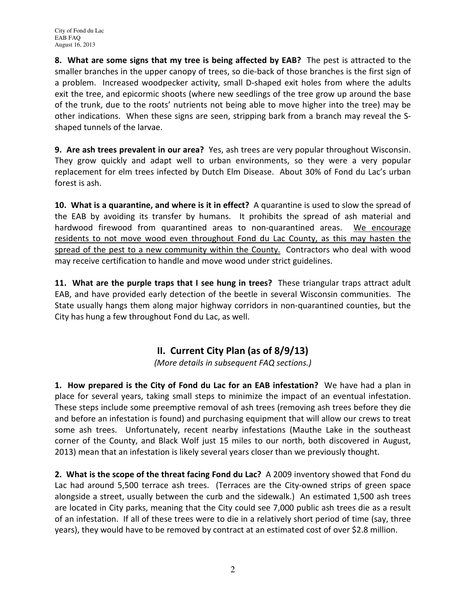8. What are some signs that my tree is being affected by EAB? The pest is attracted to the smaller branches in the upper canopy of trees, so die-back of those branches is the first sign of a problem. Increased woodpecker activity, small D-shaped exit holes from where the adults exit the tree, and epicormic shoots (where new seedlings of the tree grow up around the base of the trunk, due to the roots' nutrients not being able to move higher into the tree) may be other indications. When these signs are seen, stripping bark from a branch may reveal the Sshaped tunnels of the larvae.

9. Are ash trees prevalent in our area? Yes, ash trees are very popular throughout Wisconsin. They grow quickly and adapt well to urban environments, so they were a very popular replacement for elm trees infected by Dutch Elm Disease. About 30% of Fond du Lac's urban forest is ash.

10. What is a quarantine, and where is it in effect? A quarantine is used to slow the spread of the EAB by avoiding its transfer by humans. It prohibits the spread of ash material and hardwood firewood from quarantined areas to non-quarantined areas. We encourage residents to not move wood even throughout Fond du Lac County, as this may hasten the spread of the pest to a new community within the County. Contractors who deal with wood may receive certification to handle and move wood under strict guidelines.

11. What are the purple traps that I see hung in trees? These triangular traps attract adult EAB, and have provided early detection of the beetle in several Wisconsin communities. The State usually hangs them along major highway corridors in non-quarantined counties, but the City has hung a few throughout Fond du Lac, as well.

# II. Current City Plan (as of 8/9/13)

(More details in subsequent FAQ sections.)

1. How prepared is the City of Fond du Lac for an EAB infestation? We have had a plan in place for several years, taking small steps to minimize the impact of an eventual infestation. These steps include some preemptive removal of ash trees (removing ash trees before they die and before an infestation is found) and purchasing equipment that will allow our crews to treat some ash trees. Unfortunately, recent nearby infestations (Mauthe Lake in the southeast corner of the County, and Black Wolf just 15 miles to our north, both discovered in August, 2013) mean that an infestation is likely several years closer than we previously thought.

2. What is the scope of the threat facing Fond du Lac? A 2009 inventory showed that Fond du Lac had around 5,500 terrace ash trees. (Terraces are the City-owned strips of green space alongside a street, usually between the curb and the sidewalk.) An estimated 1,500 ash trees are located in City parks, meaning that the City could see 7,000 public ash trees die as a result of an infestation. If all of these trees were to die in a relatively short period of time (say, three years), they would have to be removed by contract at an estimated cost of over \$2.8 million.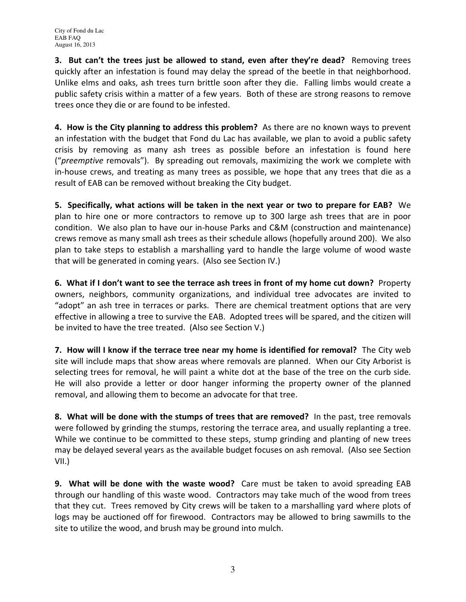3. But can't the trees just be allowed to stand, even after they're dead? Removing trees quickly after an infestation is found may delay the spread of the beetle in that neighborhood. Unlike elms and oaks, ash trees turn brittle soon after they die. Falling limbs would create a public safety crisis within a matter of a few years. Both of these are strong reasons to remove trees once they die or are found to be infested.

4. How is the City planning to address this problem? As there are no known ways to prevent an infestation with the budget that Fond du Lac has available, we plan to avoid a public safety crisis by removing as many ash trees as possible before an infestation is found here ("preemptive removals"). By spreading out removals, maximizing the work we complete with in-house crews, and treating as many trees as possible, we hope that any trees that die as a result of EAB can be removed without breaking the City budget.

5. Specifically, what actions will be taken in the next year or two to prepare for EAB? We plan to hire one or more contractors to remove up to 300 large ash trees that are in poor condition. We also plan to have our in-house Parks and C&M (construction and maintenance) crews remove as many small ash trees as their schedule allows (hopefully around 200). We also plan to take steps to establish a marshalling yard to handle the large volume of wood waste that will be generated in coming years. (Also see Section IV.)

6. What if I don't want to see the terrace ash trees in front of my home cut down? Property owners, neighbors, community organizations, and individual tree advocates are invited to "adopt" an ash tree in terraces or parks. There are chemical treatment options that are very effective in allowing a tree to survive the EAB. Adopted trees will be spared, and the citizen will be invited to have the tree treated. (Also see Section V.)

7. How will I know if the terrace tree near my home is identified for removal? The City web site will include maps that show areas where removals are planned. When our City Arborist is selecting trees for removal, he will paint a white dot at the base of the tree on the curb side. He will also provide a letter or door hanger informing the property owner of the planned removal, and allowing them to become an advocate for that tree.

8. What will be done with the stumps of trees that are removed? In the past, tree removals were followed by grinding the stumps, restoring the terrace area, and usually replanting a tree. While we continue to be committed to these steps, stump grinding and planting of new trees may be delayed several years as the available budget focuses on ash removal. (Also see Section VII.)

9. What will be done with the waste wood? Care must be taken to avoid spreading EAB through our handling of this waste wood. Contractors may take much of the wood from trees that they cut. Trees removed by City crews will be taken to a marshalling yard where plots of logs may be auctioned off for firewood. Contractors may be allowed to bring sawmills to the site to utilize the wood, and brush may be ground into mulch.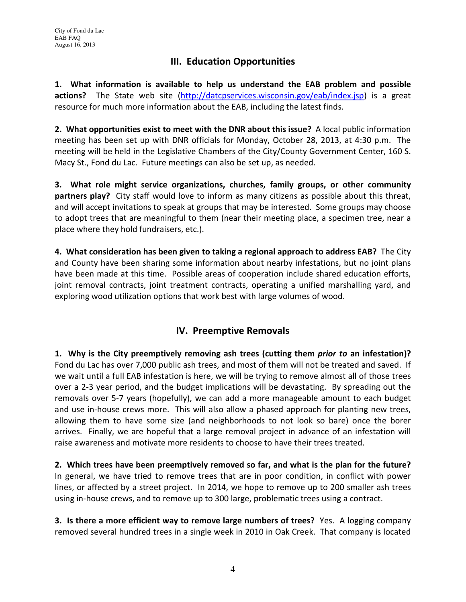## III. Education Opportunities

1. What information is available to help us understand the EAB problem and possible actions? The State web site (http://datcpservices.wisconsin.gov/eab/index.jsp) is a great resource for much more information about the EAB, including the latest finds.

2. What opportunities exist to meet with the DNR about this issue? A local public information meeting has been set up with DNR officials for Monday, October 28, 2013, at 4:30 p.m. The meeting will be held in the Legislative Chambers of the City/County Government Center, 160 S. Macy St., Fond du Lac. Future meetings can also be set up, as needed.

3. What role might service organizations, churches, family groups, or other community partners play? City staff would love to inform as many citizens as possible about this threat, and will accept invitations to speak at groups that may be interested. Some groups may choose to adopt trees that are meaningful to them (near their meeting place, a specimen tree, near a place where they hold fundraisers, etc.).

4. What consideration has been given to taking a regional approach to address EAB? The City and County have been sharing some information about nearby infestations, but no joint plans have been made at this time. Possible areas of cooperation include shared education efforts, joint removal contracts, joint treatment contracts, operating a unified marshalling yard, and exploring wood utilization options that work best with large volumes of wood.

### IV. Preemptive Removals

1. Why is the City preemptively removing ash trees (cutting them *prior to* an infestation)? Fond du Lac has over 7,000 public ash trees, and most of them will not be treated and saved. If we wait until a full EAB infestation is here, we will be trying to remove almost all of those trees over a 2-3 year period, and the budget implications will be devastating. By spreading out the removals over 5-7 years (hopefully), we can add a more manageable amount to each budget and use in-house crews more. This will also allow a phased approach for planting new trees, allowing them to have some size (and neighborhoods to not look so bare) once the borer arrives. Finally, we are hopeful that a large removal project in advance of an infestation will raise awareness and motivate more residents to choose to have their trees treated.

2. Which trees have been preemptively removed so far, and what is the plan for the future? In general, we have tried to remove trees that are in poor condition, in conflict with power lines, or affected by a street project. In 2014, we hope to remove up to 200 smaller ash trees using in-house crews, and to remove up to 300 large, problematic trees using a contract.

3. Is there a more efficient way to remove large numbers of trees? Yes. A logging company removed several hundred trees in a single week in 2010 in Oak Creek. That company is located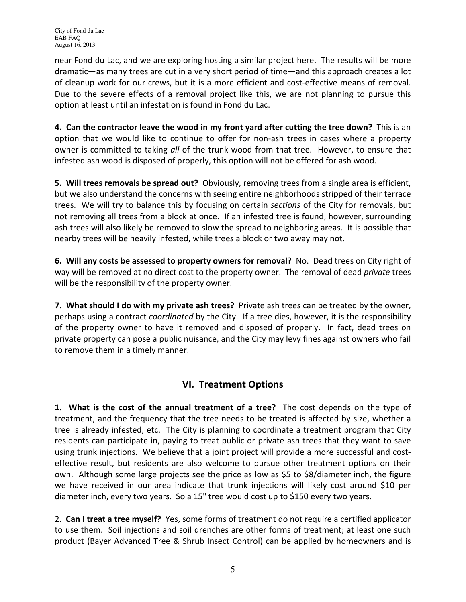City of Fond du Lac EAB FAQ August 16, 2013

near Fond du Lac, and we are exploring hosting a similar project here. The results will be more dramatic—as many trees are cut in a very short period of time—and this approach creates a lot of cleanup work for our crews, but it is a more efficient and cost-effective means of removal. Due to the severe effects of a removal project like this, we are not planning to pursue this option at least until an infestation is found in Fond du Lac.

4. Can the contractor leave the wood in my front yard after cutting the tree down? This is an option that we would like to continue to offer for non-ash trees in cases where a property owner is committed to taking all of the trunk wood from that tree. However, to ensure that infested ash wood is disposed of properly, this option will not be offered for ash wood.

5. Will trees removals be spread out? Obviously, removing trees from a single area is efficient, but we also understand the concerns with seeing entire neighborhoods stripped of their terrace trees. We will try to balance this by focusing on certain *sections* of the City for removals, but not removing all trees from a block at once. If an infested tree is found, however, surrounding ash trees will also likely be removed to slow the spread to neighboring areas. It is possible that nearby trees will be heavily infested, while trees a block or two away may not.

6. Will any costs be assessed to property owners for removal? No. Dead trees on City right of way will be removed at no direct cost to the property owner. The removal of dead *private* trees will be the responsibility of the property owner.

7. What should I do with my private ash trees? Private ash trees can be treated by the owner, perhaps using a contract coordinated by the City. If a tree dies, however, it is the responsibility of the property owner to have it removed and disposed of properly. In fact, dead trees on private property can pose a public nuisance, and the City may levy fines against owners who fail to remove them in a timely manner.

### VI. Treatment Options

1. What is the cost of the annual treatment of a tree? The cost depends on the type of treatment, and the frequency that the tree needs to be treated is affected by size, whether a tree is already infested, etc. The City is planning to coordinate a treatment program that City residents can participate in, paying to treat public or private ash trees that they want to save using trunk injections. We believe that a joint project will provide a more successful and costeffective result, but residents are also welcome to pursue other treatment options on their own. Although some large projects see the price as low as \$5 to \$8/diameter inch, the figure we have received in our area indicate that trunk injections will likely cost around \$10 per diameter inch, every two years. So a 15" tree would cost up to \$150 every two years.

2. Can I treat a tree myself? Yes, some forms of treatment do not require a certified applicator to use them. Soil injections and soil drenches are other forms of treatment; at least one such product (Bayer Advanced Tree & Shrub Insect Control) can be applied by homeowners and is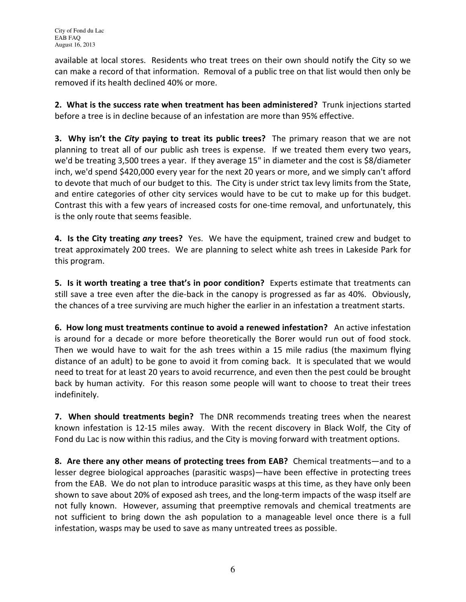available at local stores. Residents who treat trees on their own should notify the City so we can make a record of that information. Removal of a public tree on that list would then only be removed if its health declined 40% or more.

2. What is the success rate when treatment has been administered? Trunk injections started before a tree is in decline because of an infestation are more than 95% effective.

**3. Why isn't the City paying to treat its public trees?** The primary reason that we are not planning to treat all of our public ash trees is expense. If we treated them every two years, we'd be treating 3,500 trees a year. If they average 15" in diameter and the cost is \$8/diameter inch, we'd spend \$420,000 every year for the next 20 years or more, and we simply can't afford to devote that much of our budget to this. The City is under strict tax levy limits from the State, and entire categories of other city services would have to be cut to make up for this budget. Contrast this with a few years of increased costs for one-time removal, and unfortunately, this is the only route that seems feasible.

4. Is the City treating any trees? Yes. We have the equipment, trained crew and budget to treat approximately 200 trees. We are planning to select white ash trees in Lakeside Park for this program.

5. Is it worth treating a tree that's in poor condition? Experts estimate that treatments can still save a tree even after the die-back in the canopy is progressed as far as 40%. Obviously, the chances of a tree surviving are much higher the earlier in an infestation a treatment starts.

6. How long must treatments continue to avoid a renewed infestation? An active infestation is around for a decade or more before theoretically the Borer would run out of food stock. Then we would have to wait for the ash trees within a 15 mile radius (the maximum flying distance of an adult) to be gone to avoid it from coming back. It is speculated that we would need to treat for at least 20 years to avoid recurrence, and even then the pest could be brought back by human activity. For this reason some people will want to choose to treat their trees indefinitely.

7. When should treatments begin? The DNR recommends treating trees when the nearest known infestation is 12-15 miles away. With the recent discovery in Black Wolf, the City of Fond du Lac is now within this radius, and the City is moving forward with treatment options.

8. Are there any other means of protecting trees from EAB? Chemical treatments—and to a lesser degree biological approaches (parasitic wasps)—have been effective in protecting trees from the EAB. We do not plan to introduce parasitic wasps at this time, as they have only been shown to save about 20% of exposed ash trees, and the long-term impacts of the wasp itself are not fully known. However, assuming that preemptive removals and chemical treatments are not sufficient to bring down the ash population to a manageable level once there is a full infestation, wasps may be used to save as many untreated trees as possible.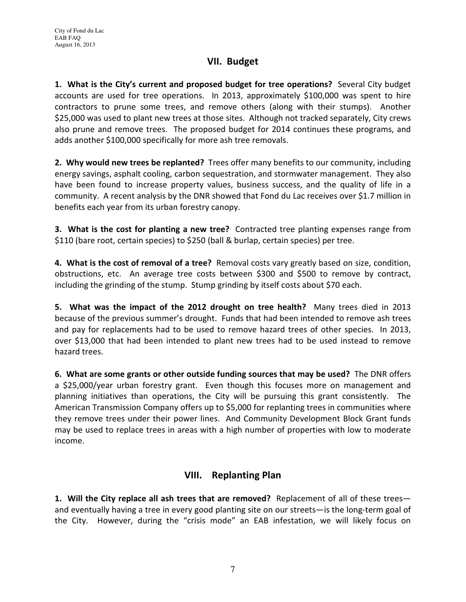#### VII. Budget

1. What is the City's current and proposed budget for tree operations? Several City budget accounts are used for tree operations. In 2013, approximately \$100,000 was spent to hire contractors to prune some trees, and remove others (along with their stumps). Another \$25,000 was used to plant new trees at those sites. Although not tracked separately, City crews also prune and remove trees. The proposed budget for 2014 continues these programs, and adds another \$100,000 specifically for more ash tree removals.

2. Why would new trees be replanted? Trees offer many benefits to our community, including energy savings, asphalt cooling, carbon sequestration, and stormwater management. They also have been found to increase property values, business success, and the quality of life in a community. A recent analysis by the DNR showed that Fond du Lac receives over \$1.7 million in benefits each year from its urban forestry canopy.

**3.** What is the cost for planting a new tree? Contracted tree planting expenses range from \$110 (bare root, certain species) to \$250 (ball & burlap, certain species) per tree.

4. What is the cost of removal of a tree? Removal costs vary greatly based on size, condition, obstructions, etc. An average tree costs between \$300 and \$500 to remove by contract, including the grinding of the stump. Stump grinding by itself costs about \$70 each.

5. What was the impact of the 2012 drought on tree health? Many trees died in 2013 because of the previous summer's drought. Funds that had been intended to remove ash trees and pay for replacements had to be used to remove hazard trees of other species. In 2013, over \$13,000 that had been intended to plant new trees had to be used instead to remove hazard trees.

6. What are some grants or other outside funding sources that may be used? The DNR offers a \$25,000/year urban forestry grant. Even though this focuses more on management and planning initiatives than operations, the City will be pursuing this grant consistently. The American Transmission Company offers up to \$5,000 for replanting trees in communities where they remove trees under their power lines. And Community Development Block Grant funds may be used to replace trees in areas with a high number of properties with low to moderate income.

#### VIII. Replanting Plan

1. Will the City replace all ash trees that are removed? Replacement of all of these trees and eventually having a tree in every good planting site on our streets—is the long-term goal of the City. However, during the "crisis mode" an EAB infestation, we will likely focus on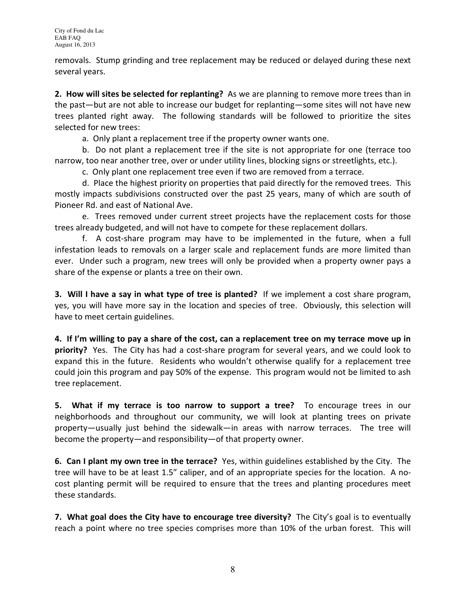removals. Stump grinding and tree replacement may be reduced or delayed during these next several years.

2. How will sites be selected for replanting? As we are planning to remove more trees than in the past—but are not able to increase our budget for replanting—some sites will not have new trees planted right away. The following standards will be followed to prioritize the sites selected for new trees:

a. Only plant a replacement tree if the property owner wants one.

b. Do not plant a replacement tree if the site is not appropriate for one (terrace too narrow, too near another tree, over or under utility lines, blocking signs or streetlights, etc.).

c. Only plant one replacement tree even if two are removed from a terrace.

d. Place the highest priority on properties that paid directly for the removed trees. This mostly impacts subdivisions constructed over the past 25 years, many of which are south of Pioneer Rd. and east of National Ave.

e. Trees removed under current street projects have the replacement costs for those trees already budgeted, and will not have to compete for these replacement dollars.

f. A cost-share program may have to be implemented in the future, when a full infestation leads to removals on a larger scale and replacement funds are more limited than ever. Under such a program, new trees will only be provided when a property owner pays a share of the expense or plants a tree on their own.

3. Will I have a say in what type of tree is planted? If we implement a cost share program, yes, you will have more say in the location and species of tree. Obviously, this selection will have to meet certain guidelines.

4. If I'm willing to pay a share of the cost, can a replacement tree on my terrace move up in priority? Yes. The City has had a cost-share program for several years, and we could look to expand this in the future. Residents who wouldn't otherwise qualify for a replacement tree could join this program and pay 50% of the expense. This program would not be limited to ash tree replacement.

5. What if my terrace is too narrow to support a tree? To encourage trees in our neighborhoods and throughout our community, we will look at planting trees on private property—usually just behind the sidewalk—in areas with narrow terraces. The tree will become the property—and responsibility—of that property owner.

6. Can I plant my own tree in the terrace? Yes, within guidelines established by the City. The tree will have to be at least 1.5" caliper, and of an appropriate species for the location. A nocost planting permit will be required to ensure that the trees and planting procedures meet these standards.

7. What goal does the City have to encourage tree diversity? The City's goal is to eventually reach a point where no tree species comprises more than 10% of the urban forest. This will